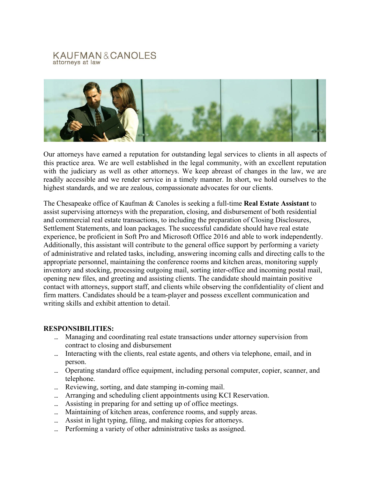## KAUFMAN&CANOLES attorneys at law



Our attorneys have earned a reputation for outstanding legal services to clients in all aspects of this practice area. We are well established in the legal community, with an excellent reputation with the judiciary as well as other attorneys. We keep abreast of changes in the law, we are readily accessible and we render service in a timely manner. In short, we hold ourselves to the highest standards, and we are zealous, compassionate advocates for our clients.

The Chesapeake office of Kaufman & Canoles is seeking a full-time **Real Estate Assistant** to assist supervising attorneys with the preparation, closing, and disbursement of both residential and commercial real estate transactions, to including the preparation of Closing Disclosures, Settlement Statements, and loan packages. The successful candidate should have real estate experience, be proficient in Soft Pro and Microsoft Office 2016 and able to work independently. Additionally, this assistant will contribute to the general office support by performing a variety of administrative and related tasks, including, answering incoming calls and directing calls to the appropriate personnel, maintaining the conference rooms and kitchen areas, monitoring supply inventory and stocking, processing outgoing mail, sorting inter-office and incoming postal mail, opening new files, and greeting and assisting clients. The candidate should maintain positive contact with attorneys, support staff, and clients while observing the confidentiality of client and firm matters. Candidates should be a team-player and possess excellent communication and writing skills and exhibit attention to detail.

## **RESPONSIBILITIES:**

- Managing and coordinating real estate transactions under attorney supervision from contract to closing and disbursement
- ... Interacting with the clients, real estate agents, and others via telephone, email, and in person.
- Operating standard office equipment, including personal computer, copier, scanner, and telephone.
- Reviewing, sorting, and date stamping in-coming mail.
- ... Arranging and scheduling client appointments using KCI Reservation.
- ... Assisting in preparing for and setting up of office meetings.
- Maintaining of kitchen areas, conference rooms, and supply areas.
- Assist in light typing, filing, and making copies for attorneys.
- Performing a variety of other administrative tasks as assigned.